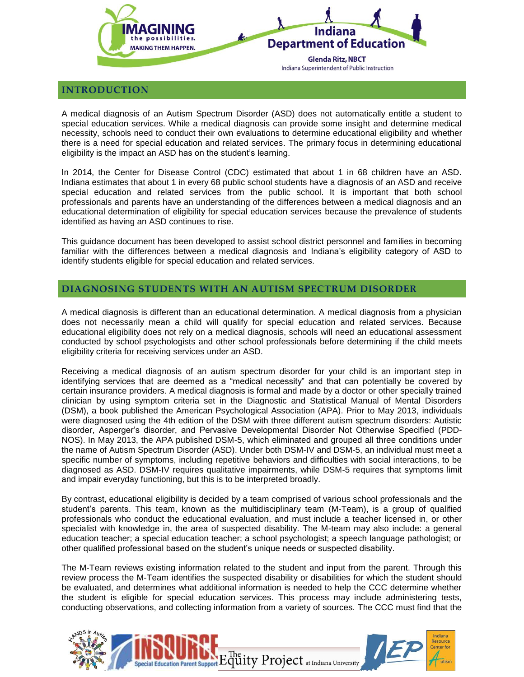

#### **INTRODUCTION**

A medical diagnosis of an Autism Spectrum Disorder (ASD) does not automatically entitle a student to special education services. While a medical diagnosis can provide some insight and determine medical necessity, schools need to conduct their own evaluations to determine educational eligibility and whether there is a need for special education and related services. The primary focus in determining educational eligibility is the impact an ASD has on the student's learning.

In 2014, the Center for Disease Control (CDC) estimated that about 1 in 68 children have an ASD. Indiana estimates that about 1 in every 68 public school students have a diagnosis of an ASD and receive special education and related services from the public school. It is important that both school professionals and parents have an understanding of the differences between a medical diagnosis and an educational determination of eligibility for special education services because the prevalence of students identified as having an ASD continues to rise.

This guidance document has been developed to assist school district personnel and families in becoming familiar with the differences between a medical diagnosis and Indiana's eligibility category of ASD to identify students eligible for special education and related services.

### **DIAGNOSING STUDENTS WITH AN AUTISM SPECTRUM DISORDER**

A medical diagnosis is different than an educational determination. A medical diagnosis from a physician does not necessarily mean a child will qualify for special education and related services. Because educational eligibility does not rely on a medical diagnosis, schools will need an educational assessment conducted by school psychologists and other school professionals before determining if the child meets eligibility criteria for receiving services under an ASD.

Receiving a medical diagnosis of an autism spectrum disorder for your child is an important step in identifying services that are deemed as a "medical necessity" and that can potentially be covered by certain insurance providers. A medical diagnosis is formal and made by a doctor or other specially trained clinician by using symptom criteria set in the Diagnostic and Statistical Manual of Mental Disorders (DSM), a book published the American Psychological Association (APA). Prior to May 2013, individuals were diagnosed using the 4th edition of the DSM with three different autism spectrum disorders: Autistic disorder, Asperger's disorder, and Pervasive Developmental Disorder Not Otherwise Specified (PDD-NOS). In May 2013, the APA published DSM-5, which eliminated and grouped all three conditions under the name of Autism Spectrum Disorder (ASD). Under both DSM-IV and DSM-5, an individual must meet a specific number of symptoms, including repetitive behaviors and difficulties with social interactions, to be diagnosed as ASD. DSM-IV requires qualitative impairments, while DSM-5 requires that symptoms limit and impair everyday functioning, but this is to be interpreted broadly.

By contrast, educational eligibility is decided by a team comprised of various school professionals and the student's parents. This team, known as the multidisciplinary team (M-Team), is a group of qualified professionals who conduct the educational evaluation, and must include a teacher licensed in, or other specialist with knowledge in, the area of suspected disability. The M-team may also include: a general education teacher; a special education teacher; a school psychologist; a speech language pathologist; or other qualified professional based on the student's unique needs or suspected disability.

The M-Team reviews existing information related to the student and input from the parent. Through this review process the M-Team identifies the suspected disability or disabilities for which the student should be evaluated, and determines what additional information is needed to help the CCC determine whether the student is eligible for special education services. This process may include administering tests, conducting observations, and collecting information from a variety of sources. The CCC must find that the

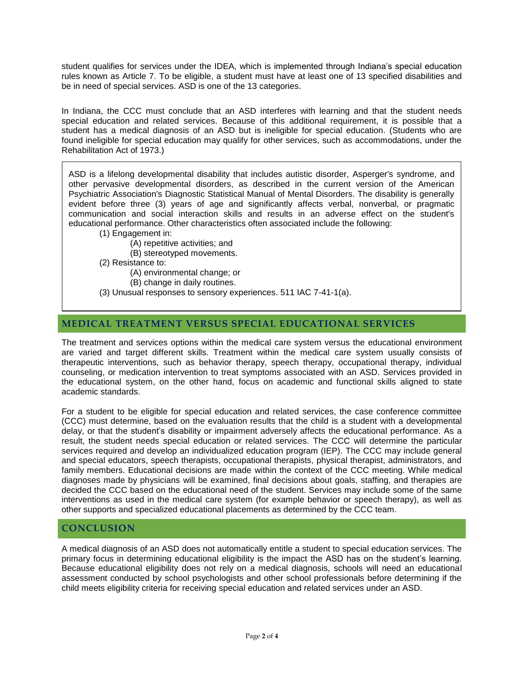student qualifies for services under the IDEA, which is implemented through Indiana's special education rules known as Article 7. To be eligible, a student must have at least one of 13 specified disabilities and be in need of special services. ASD is one of the 13 categories.

In Indiana, the CCC must conclude that an ASD interferes with learning and that the student needs special education and related services. Because of this additional requirement, it is possible that a student has a medical diagnosis of an ASD but is ineligible for special education. (Students who are found ineligible for special education may qualify for other services, such as accommodations, under the Rehabilitation Act of 1973.)

ASD is a lifelong developmental disability that includes autistic disorder, Asperger's syndrome, and other pervasive developmental disorders, as described in the current version of the American Psychiatric Association's Diagnostic Statistical Manual of Mental Disorders. The disability is generally evident before three (3) years of age and significantly affects verbal, nonverbal, or pragmatic communication and social interaction skills and results in an adverse effect on the student's educational performance. Other characteristics often associated include the following:

(1) Engagement in:

(A) repetitive activities; and

(B) stereotyped movements.

(2) Resistance to:

(A) environmental change; or

(B) change in daily routines.

(3) Unusual responses to sensory experiences. 511 IAC 7-41-1(a).

## **MEDICAL TREATMENT VERSUS SPECIAL EDUCATIONAL SERVICES**

The treatment and services options within the medical care system versus the educational environment are varied and target different skills. Treatment within the medical care system usually consists of therapeutic interventions, such as behavior therapy, speech therapy, occupational therapy, individual counseling, or medication intervention to treat symptoms associated with an ASD. Services provided in the educational system, on the other hand, focus on academic and functional skills aligned to state academic standards.

For a student to be eligible for special education and related services, the case conference committee (CCC) must determine, based on the evaluation results that the child is a student with a developmental delay, or that the student's disability or impairment adversely affects the educational performance. As a result, the student needs special education or related services. The CCC will determine the particular services required and develop an individualized education program (IEP). The CCC may include general and special educators, speech therapists, occupational therapists, physical therapist, administrators, and family members. Educational decisions are made within the context of the CCC meeting. While medical diagnoses made by physicians will be examined, final decisions about goals, staffing, and therapies are decided the CCC based on the educational need of the student. Services may include some of the same interventions as used in the medical care system (for example behavior or speech therapy), as well as other supports and specialized educational placements as determined by the CCC team.

### **CONCLUSION**

A medical diagnosis of an ASD does not automatically entitle a student to special education services. The primary focus in determining educational eligibility is the impact the ASD has on the student's learning. Because educational eligibility does not rely on a medical diagnosis, schools will need an educational assessment conducted by school psychologists and other school professionals before determining if the child meets eligibility criteria for receiving special education and related services under an ASD.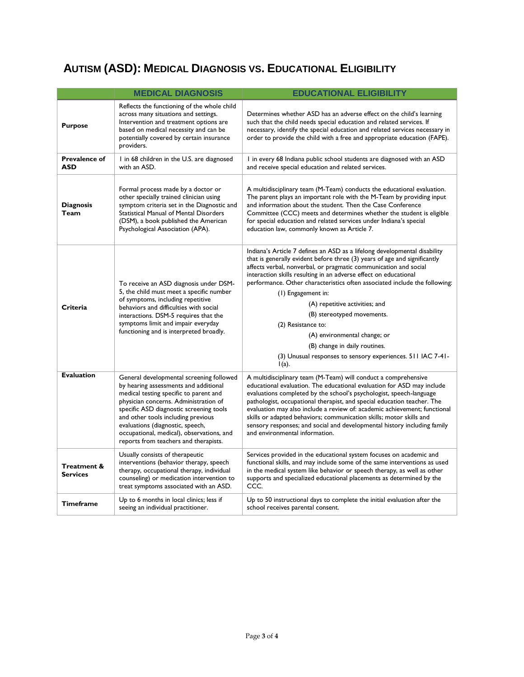# **AUTISM (ASD): MEDICAL DIAGNOSIS VS. EDUCATIONAL ELIGIBILITY**

|                                    | <b>MEDICAL DIAGNOSIS</b>                                                                                                                                                                                                                                                                                                                                                        | <b>EDUCATIONAL ELIGIBILITY</b>                                                                                                                                                                                                                                                                                                                                                                                                                                                                                                                                                                                                                         |
|------------------------------------|---------------------------------------------------------------------------------------------------------------------------------------------------------------------------------------------------------------------------------------------------------------------------------------------------------------------------------------------------------------------------------|--------------------------------------------------------------------------------------------------------------------------------------------------------------------------------------------------------------------------------------------------------------------------------------------------------------------------------------------------------------------------------------------------------------------------------------------------------------------------------------------------------------------------------------------------------------------------------------------------------------------------------------------------------|
| <b>Purpose</b>                     | Reflects the functioning of the whole child<br>across many situations and settings.<br>Intervention and treatment options are<br>based on medical necessity and can be<br>potentially covered by certain insurance<br>providers.                                                                                                                                                | Determines whether ASD has an adverse effect on the child's learning<br>such that the child needs special education and related services. If<br>necessary, identify the special education and related services necessary in<br>order to provide the child with a free and appropriate education (FAPE).                                                                                                                                                                                                                                                                                                                                                |
| <b>Prevalence of</b><br><b>ASD</b> | 1 in 68 children in the U.S. are diagnosed<br>with an ASD.                                                                                                                                                                                                                                                                                                                      | I in every 68 Indiana public school students are diagnosed with an ASD<br>and receive special education and related services.                                                                                                                                                                                                                                                                                                                                                                                                                                                                                                                          |
| <b>Diagnosis</b><br>Team           | Formal process made by a doctor or<br>other specially trained clinician using<br>symptom criteria set in the Diagnostic and<br>Statistical Manual of Mental Disorders<br>(DSM), a book published the American<br>Psychological Association (APA).                                                                                                                               | A multidisciplinary team (M-Team) conducts the educational evaluation.<br>The parent plays an important role with the M-Team by providing input<br>and information about the student. Then the Case Conference<br>Committee (CCC) meets and determines whether the student is eligible<br>for special education and related services under Indiana's special<br>education law, commonly known as Article 7.                                                                                                                                                                                                                                            |
| Criteria                           | To receive an ASD diagnosis under DSM-<br>5, the child must meet a specific number<br>of symptoms, including repetitive<br>behaviors and difficulties with social<br>interactions. DSM-5 requires that the<br>symptoms limit and impair everyday<br>functioning and is interpreted broadly.                                                                                     | Indiana's Article 7 defines an ASD as a lifelong developmental disability<br>that is generally evident before three (3) years of age and significantly<br>affects verbal, nonverbal, or pragmatic communication and social<br>interaction skills resulting in an adverse effect on educational<br>performance. Other characteristics often associated include the following:<br>(1) Engagement in:<br>(A) repetitive activities; and<br>(B) stereotyped movements.<br>(2) Resistance to:<br>(A) environmental change; or<br>(B) change in daily routines.<br>(3) Unusual responses to sensory experiences. 511 IAC 7-41-<br>$\mathsf{I}(\mathsf{a})$ . |
| <b>Evaluation</b>                  | General developmental screening followed<br>by hearing assessments and additional<br>medical testing specific to parent and<br>physician concerns. Administration of<br>specific ASD diagnostic screening tools<br>and other tools including previous<br>evaluations (diagnostic, speech,<br>occupational, medical), observations, and<br>reports from teachers and therapists. | A multidisciplinary team (M-Team) will conduct a comprehensive<br>educational evaluation. The educational evaluation for ASD may include<br>evaluations completed by the school's psychologist, speech-language<br>pathologist, occupational therapist, and special education teacher. The<br>evaluation may also include a review of: academic achievement; functional<br>skills or adapted behaviors; communication skills; motor skills and<br>sensory responses; and social and developmental history including family<br>and environmental information.                                                                                           |
| Treatment &<br><b>Services</b>     | Usually consists of therapeutic<br>interventions (behavior therapy, speech<br>therapy, occupational therapy, individual<br>counseling) or medication intervention to<br>treat symptoms associated with an ASD.                                                                                                                                                                  | Services provided in the educational system focuses on academic and<br>functional skills, and may include some of the same interventions as used<br>in the medical system like behavior or speech therapy, as well as other<br>supports and specialized educational placements as determined by the<br>CCC.                                                                                                                                                                                                                                                                                                                                            |
| <b>Timeframe</b>                   | Up to 6 months in local clinics; less if<br>seeing an individual practitioner.                                                                                                                                                                                                                                                                                                  | Up to 50 instructional days to complete the initial evaluation after the<br>school receives parental consent.                                                                                                                                                                                                                                                                                                                                                                                                                                                                                                                                          |